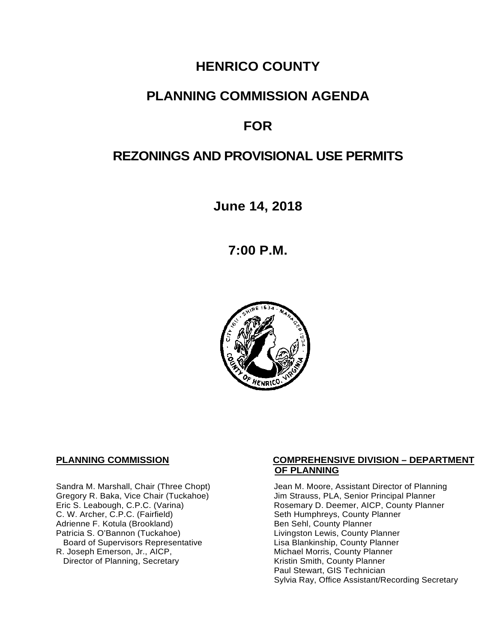# **HENRICO COUNTY**

## **PLANNING COMMISSION AGENDA**

# **FOR**

# **REZONINGS AND PROVISIONAL USE PERMITS**

**June 14, 2018**

**7:00 P.M.**



C. W. Archer, C.P.C. (Fairfield) Seth Humphreys, County I<br>Adrienne F. Kotula (Brookland) Seth Sehl, County Planner Adrienne F. Kotula (Brookland)<br>Patricia S. O'Bannon (Tuckahoe) Board of Supervisors Representative<br>R. Joseph Emerson, Jr., AICP, Director of Planning, Secretary

#### **PLANNING COMMISSION COMPREHENSIVE DIVISION – DEPARTMENT OF PLANNING**

Sandra M. Marshall, Chair (Three Chopt) Jean M. Moore, Assistant Director of Planning<br>Gregory R. Baka, Vice Chair (Tuckahoe) Jim Strauss, PLA, Senior Principal Planner Gregory R. Baka, Vice Chair (Tuckahoe) Jim Strauss, PLA, Senior Principal Planner<br>
Eric S. Leabough, C.P.C. (Varina) Sand Brown Rosemary D. Deemer, AICP, County Planner Rosemary D. Deemer, AICP, County Planner<br>Seth Humphreys, County Planner Livingston Lewis, County Planner<br>Lisa Blankinship, County Planner Michael Morris, County Planner<br>Kristin Smith, County Planner Paul Stewart, GIS Technician Sylvia Ray, Office Assistant/Recording Secretary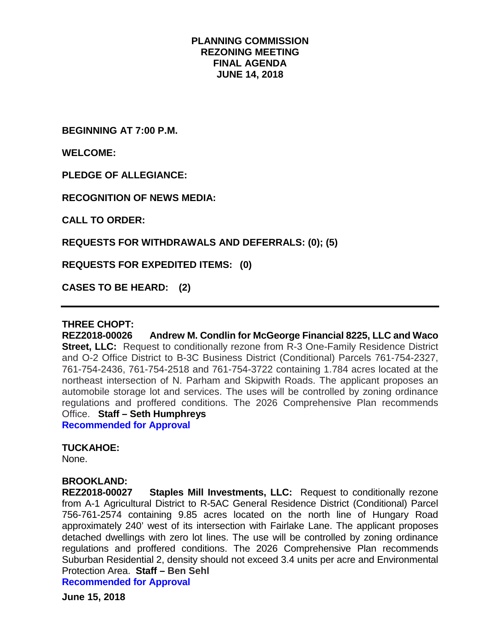#### **PLANNING COMMISSION REZONING MEETING FINAL AGENDA JUNE 14, 2018**

**BEGINNING AT 7:00 P.M.**

**WELCOME:**

**PLEDGE OF ALLEGIANCE:**

**RECOGNITION OF NEWS MEDIA:**

**CALL TO ORDER:**

**REQUESTS FOR WITHDRAWALS AND DEFERRALS: (0); (5)**

**REQUESTS FOR EXPEDITED ITEMS: (0)**

**CASES TO BE HEARD: (2)**

#### **THREE CHOPT:**

**REZ2018-00026 Andrew M. Condlin for McGeorge Financial 8225, LLC and Waco Street, LLC:** Request to conditionally rezone from R-3 One-Family Residence District and O-2 Office District to B-3C Business District (Conditional) Parcels 761-754-2327, 761-754-2436, 761-754-2518 and 761-754-3722 containing 1.784 acres located at the northeast intersection of N. Parham and Skipwith Roads. The applicant proposes an automobile storage lot and services. The uses will be controlled by zoning ordinance regulations and proffered conditions. The 2026 Comprehensive Plan recommends Office. **Staff – Seth Humphreys**

**Recommended for Approval**

#### **TUCKAHOE:**

None.

# **BROOKLAND:**

**Staples Mill Investments, LLC:** Request to conditionally rezone from A-1 Agricultural District to R-5AC General Residence District (Conditional) Parcel 756-761-2574 containing 9.85 acres located on the north line of Hungary Road approximately 240' west of its intersection with Fairlake Lane. The applicant proposes detached dwellings with zero lot lines. The use will be controlled by zoning ordinance regulations and proffered conditions. The 2026 Comprehensive Plan recommends Suburban Residential 2, density should not exceed 3.4 units per acre and Environmental Protection Area. **Staff – Ben Sehl**

**Recommended for Approval**

**June 15, 2018**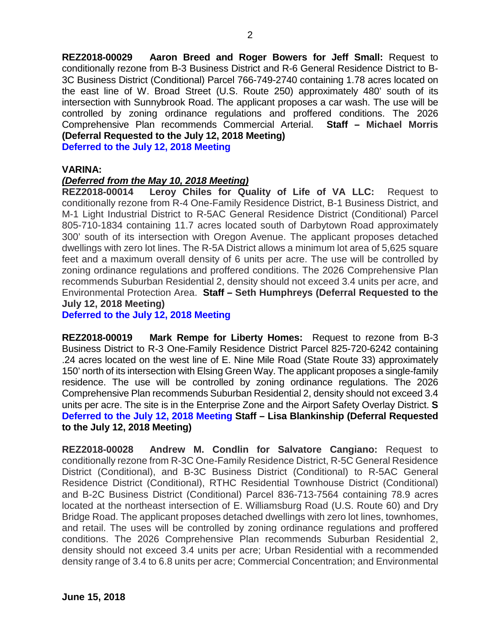**REZ2018-00029 Aaron Breed and Roger Bowers for Jeff Small:** Request to conditionally rezone from B-3 Business District and R-6 General Residence District to B-3C Business District (Conditional) Parcel 766-749-2740 containing 1.78 acres located on the east line of W. Broad Street (U.S. Route 250) approximately 480' south of its intersection with Sunnybrook Road. The applicant proposes a car wash. The use will be controlled by zoning ordinance regulations and proffered conditions. The 2026 Comprehensive Plan recommends Commercial Arterial. **Staff – Michael Morris (Deferral Requested to the July 12, 2018 Meeting)**

**Deferred to the July 12, 2018 Meeting**

#### **VARINA:**

#### *(Deferred from the May 10, 2018 Meeting)*

**REZ2018-00014 Leroy Chiles for Quality of Life of VA LLC:** Request to conditionally rezone from R-4 One-Family Residence District, B-1 Business District, and M-1 Light Industrial District to R-5AC General Residence District (Conditional) Parcel 805-710-1834 containing 11.7 acres located south of Darbytown Road approximately 300' south of its intersection with Oregon Avenue. The applicant proposes detached dwellings with zero lot lines. The R-5A District allows a minimum lot area of 5,625 square feet and a maximum overall density of 6 units per acre. The use will be controlled by zoning ordinance regulations and proffered conditions. The 2026 Comprehensive Plan recommends Suburban Residential 2, density should not exceed 3.4 units per acre, and Environmental Protection Area. **Staff – Seth Humphreys (Deferral Requested to the July 12, 2018 Meeting)**

**Deferred to the July 12, 2018 Meeting**

**REZ2018-00019 Mark Rempe for Liberty Homes:** Request to rezone from B-3 Business District to R-3 One-Family Residence District Parcel 825-720-6242 containing .24 acres located on the west line of E. Nine Mile Road (State Route 33) approximately 150' north of its intersection with Elsing Green Way. The applicant proposes a single-family residence. The use will be controlled by zoning ordinance regulations. The 2026 Comprehensive Plan recommends Suburban Residential 2, density should not exceed 3.4 units per acre. The site is in the Enterprise Zone and the Airport Safety Overlay District. **S Deferred to the July 12, 2018 Meeting Staff – Lisa Blankinship (Deferral Requested to the July 12, 2018 Meeting)**

**REZ2018-00028 Andrew M. Condlin for Salvatore Cangiano:** Request to conditionally rezone from R-3C One-Family Residence District, R-5C General Residence District (Conditional), and B-3C Business District (Conditional) to R-5AC General Residence District (Conditional), RTHC Residential Townhouse District (Conditional) and B-2C Business District (Conditional) Parcel 836-713-7564 containing 78.9 acres located at the northeast intersection of E. Williamsburg Road (U.S. Route 60) and Dry Bridge Road. The applicant proposes detached dwellings with zero lot lines, townhomes, and retail. The uses will be controlled by zoning ordinance regulations and proffered conditions. The 2026 Comprehensive Plan recommends Suburban Residential 2, density should not exceed 3.4 units per acre; Urban Residential with a recommended density range of 3.4 to 6.8 units per acre; Commercial Concentration; and Environmental